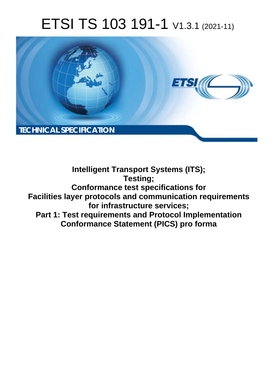# ETSI TS 103 191-1 V1.3.1 (2021-11)



**Intelligent Transport Systems (ITS); Testing; Conformance test specifications for Facilities layer protocols and communication requirements for infrastructure services; Part 1: Test requirements and Protocol Implementation Conformance Statement (PICS) pro forma**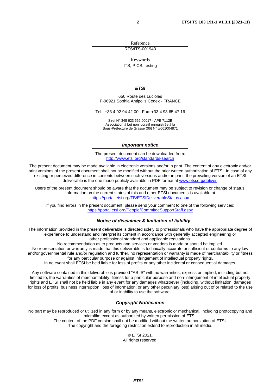Reference RTS/ITS-001943

Keywords

ITS, PICS, testing

#### *ETSI*

650 Route des Lucioles F-06921 Sophia Antipolis Cedex - FRANCE

Tel.: +33 4 92 94 42 00 Fax: +33 4 93 65 47 16

Siret N° 348 623 562 00017 - APE 7112B Association à but non lucratif enregistrée à la Sous-Préfecture de Grasse (06) N° w061004871

#### *Important notice*

The present document can be downloaded from: <http://www.etsi.org/standards-search>

The present document may be made available in electronic versions and/or in print. The content of any electronic and/or print versions of the present document shall not be modified without the prior written authorization of ETSI. In case of any existing or perceived difference in contents between such versions and/or in print, the prevailing version of an ETSI deliverable is the one made publicly available in PDF format at [www.etsi.org/deliver](http://www.etsi.org/deliver).

Users of the present document should be aware that the document may be subject to revision or change of status. Information on the current status of this and other ETSI documents is available at <https://portal.etsi.org/TB/ETSIDeliverableStatus.aspx>

If you find errors in the present document, please send your comment to one of the following services: <https://portal.etsi.org/People/CommiteeSupportStaff.aspx>

#### *Notice of disclaimer & limitation of liability*

The information provided in the present deliverable is directed solely to professionals who have the appropriate degree of experience to understand and interpret its content in accordance with generally accepted engineering or other professional standard and applicable regulations.

No recommendation as to products and services or vendors is made or should be implied.

No representation or warranty is made that this deliverable is technically accurate or sufficient or conforms to any law and/or governmental rule and/or regulation and further, no representation or warranty is made of merchantability or fitness for any particular purpose or against infringement of intellectual property rights.

In no event shall ETSI be held liable for loss of profits or any other incidental or consequential damages.

Any software contained in this deliverable is provided "AS IS" with no warranties, express or implied, including but not limited to, the warranties of merchantability, fitness for a particular purpose and non-infringement of intellectual property rights and ETSI shall not be held liable in any event for any damages whatsoever (including, without limitation, damages for loss of profits, business interruption, loss of information, or any other pecuniary loss) arising out of or related to the use of or inability to use the software.

#### *Copyright Notification*

No part may be reproduced or utilized in any form or by any means, electronic or mechanical, including photocopying and microfilm except as authorized by written permission of ETSI. The content of the PDF version shall not be modified without the written authorization of ETSI.

The copyright and the foregoing restriction extend to reproduction in all media.

© ETSI 2021. All rights reserved.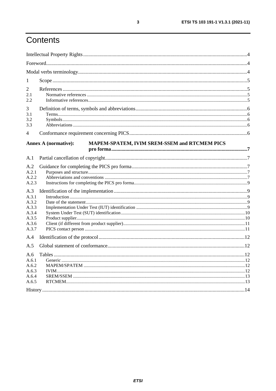# Contents

| 1                                                                                                    |                                                                             |  |
|------------------------------------------------------------------------------------------------------|-----------------------------------------------------------------------------|--|
| 2<br>2.1<br>2.2                                                                                      |                                                                             |  |
| 3<br>3.1<br>3.2<br>3.3                                                                               |                                                                             |  |
| 4                                                                                                    |                                                                             |  |
|                                                                                                      | MAPEM-SPATEM, IVIM SREM-SSEM and RTCMEM PICS<br><b>Annex A (normative):</b> |  |
| A.1                                                                                                  |                                                                             |  |
| A.2<br>A.2.1<br>A.2.2<br>A.2.3<br>A.3<br>A.3.1<br>A.3.2<br>A.3.3<br>A.3.4<br>A.3.5<br>A.3.6<br>A.3.7 |                                                                             |  |
| A.4                                                                                                  |                                                                             |  |
| A.5                                                                                                  |                                                                             |  |
| A.6<br>A.6.1<br>A.6.2<br>A.6.3<br>A.6.4<br>A.6.5                                                     |                                                                             |  |
|                                                                                                      |                                                                             |  |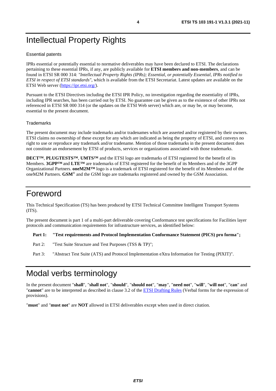# <span id="page-3-0"></span>Intellectual Property Rights

#### Essential patents

IPRs essential or potentially essential to normative deliverables may have been declared to ETSI. The declarations pertaining to these essential IPRs, if any, are publicly available for **ETSI members and non-members**, and can be found in ETSI SR 000 314: *"Intellectual Property Rights (IPRs); Essential, or potentially Essential, IPRs notified to ETSI in respect of ETSI standards"*, which is available from the ETSI Secretariat. Latest updates are available on the ETSI Web server ([https://ipr.etsi.org/\)](https://ipr.etsi.org/).

Pursuant to the ETSI Directives including the ETSI IPR Policy, no investigation regarding the essentiality of IPRs, including IPR searches, has been carried out by ETSI. No guarantee can be given as to the existence of other IPRs not referenced in ETSI SR 000 314 (or the updates on the ETSI Web server) which are, or may be, or may become, essential to the present document.

#### **Trademarks**

The present document may include trademarks and/or tradenames which are asserted and/or registered by their owners. ETSI claims no ownership of these except for any which are indicated as being the property of ETSI, and conveys no right to use or reproduce any trademark and/or tradename. Mention of those trademarks in the present document does not constitute an endorsement by ETSI of products, services or organizations associated with those trademarks.

**DECT™**, **PLUGTESTS™**, **UMTS™** and the ETSI logo are trademarks of ETSI registered for the benefit of its Members. **3GPP™** and **LTE™** are trademarks of ETSI registered for the benefit of its Members and of the 3GPP Organizational Partners. **oneM2M™** logo is a trademark of ETSI registered for the benefit of its Members and of the oneM2M Partners. **GSM**® and the GSM logo are trademarks registered and owned by the GSM Association.

### Foreword

This Technical Specification (TS) has been produced by ETSI Technical Committee Intelligent Transport Systems (ITS).

The present document is part 1 of a multi-part deliverable covering Conformance test specifications for Facilities layer protocols and communication requirements for infrastructure services, as identified below:

**Part 1: "Test requirements and Protocol Implementation Conformance Statement (PICS) pro forma";** 

- Part 2: "Test Suite Structure and Test Purposes (TSS & TP)";
- Part 3: "Abstract Test Suite (ATS) and Protocol Implementation eXtra Information for Testing (PIXIT)".

# Modal verbs terminology

In the present document "**shall**", "**shall not**", "**should**", "**should not**", "**may**", "**need not**", "**will**", "**will not**", "**can**" and "**cannot**" are to be interpreted as described in clause 3.2 of the [ETSI Drafting Rules](https://portal.etsi.org/Services/editHelp!/Howtostart/ETSIDraftingRules.aspx) (Verbal forms for the expression of provisions).

"**must**" and "**must not**" are **NOT** allowed in ETSI deliverables except when used in direct citation.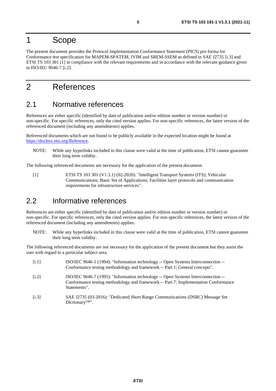### <span id="page-4-0"></span>1 Scope

The present document provides the Protocol Implementation Conformance Statement (PICS) pro forma for Conformance test specification for MAPEM-SPATEM, IVIM and SREM-SSEM as defined in SAE J2735 [i.3] and ETSI TS 103 301 [1] in compliance with the relevant requirements and in accordance with the relevant guidance given in ISO/IEC 9646-7 [i.2].

# 2 References

### 2.1 Normative references

References are either specific (identified by date of publication and/or edition number or version number) or non-specific. For specific references, only the cited version applies. For non-specific references, the latest version of the referenced document (including any amendments) applies.

Referenced documents which are not found to be publicly available in the expected location might be found at <https://docbox.etsi.org/Reference>.

NOTE: While any hyperlinks included in this clause were valid at the time of publication, ETSI cannot guarantee their long term validity.

The following referenced documents are necessary for the application of the present document.

[1] ETSI TS 103 301 (V1.3.1) (02-2020): "Intelligent Transport Systems (ITS); Vehicular Communications; Basic Set of Applications; Facilities layer protocols and communication requirements for infrastructure services".

### 2.2 Informative references

Dictionary™".

References are either specific (identified by date of publication and/or edition number or version number) or non-specific. For specific references, only the cited version applies. For non-specific references, the latest version of the referenced document (including any amendments) applies.

NOTE: While any hyperlinks included in this clause were valid at the time of publication, ETSI cannot guarantee their long term validity.

The following referenced documents are not necessary for the application of the present document but they assist the user with regard to a particular subject area.

| [i.1] | ISO/IEC 9646-1 (1994): "Information technology -- Open Systems Interconnection --<br>Conformance testing methodology and framework -- Part 1: General concepts".                         |
|-------|------------------------------------------------------------------------------------------------------------------------------------------------------------------------------------------|
| [i.2] | ISO/IEC 9646-7 (1995): "Information technology -- Open Systems Interconnection --<br>Conformance testing methodology and framework -- Part 7: Implementation Conformance<br>Statements". |
| [i.3] | SAE J2735 (03-2016): "Dedicated Short Range Communications (DSRC) Message Set                                                                                                            |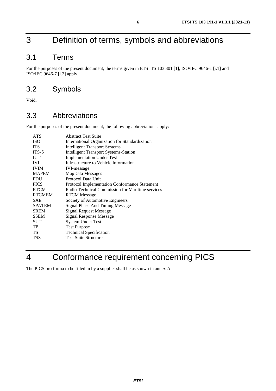# <span id="page-5-0"></span>3 Definition of terms, symbols and abbreviations

### 3.1 Terms

For the purposes of the present document, the terms given in ETSI TS 103 301 [[1\]](#page-4-0), ISO/IEC 9646-1 [[i.1\]](#page-4-0) and ISO/IEC 9646-7 [\[i.2](#page-4-0)] apply.

### 3.2 Symbols

Void.

### 3.3 Abbreviations

For the purposes of the present document, the following abbreviations apply:

| <b>ATS</b>    | <b>Abstract Test Suite</b>                           |
|---------------|------------------------------------------------------|
| <b>ISO</b>    | International Organization for Standardization       |
| <b>ITS</b>    | <b>Intelligent Transport Systems</b>                 |
| ITS-S         | <b>Intelligent Transport Systems-Station</b>         |
| <b>IUT</b>    | <b>Implementation Under Test</b>                     |
| <b>IVI</b>    | Infrastructure to Vehicle Information                |
| <b>IVIM</b>   | <b>IVI-message</b>                                   |
| <b>MAPEM</b>  | MapData Messages                                     |
| PDU           | Protocol Data Unit                                   |
| <b>PICS</b>   | <b>Protocol Implementation Conformance Statement</b> |
| <b>RTCM</b>   | Radio Technical Commission for Maritime services     |
| <b>RTCMEM</b> | <b>RTCM</b> Message                                  |
| <b>SAE</b>    | Society of Automotive Engineers                      |
| <b>SPATEM</b> | Signal Phase And Timing Message                      |
| <b>SREM</b>   | <b>Signal Request Message</b>                        |
| <b>SSEM</b>   | Signal Response Message                              |
| SUT           | <b>System Under Test</b>                             |
| TP            | <b>Test Purpose</b>                                  |
| TS            | <b>Technical Specification</b>                       |
| <b>TSS</b>    | <b>Test Suite Structure</b>                          |
|               |                                                      |

# 4 Conformance requirement concerning PICS

The PICS pro forma to be filled in by a supplier shall be as shown in annex A.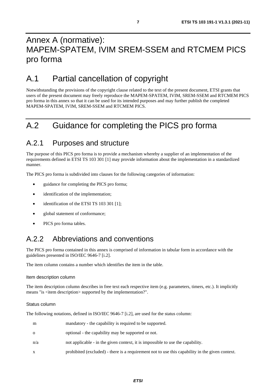# <span id="page-6-0"></span>Annex A (normative): MAPEM-SPATEM, IVIM SREM-SSEM and RTCMEM PICS pro forma

# A.1 Partial cancellation of copyright

Notwithstanding the provisions of the copyright clause related to the text of the present document, ETSI grants that users of the present document may freely reproduce the MAPEM-SPATEM, IVIM, SREM-SSEM and RTCMEM PICS pro forma in this annex so that it can be used for its intended purposes and may further publish the completed MAPEM-SPATEM, IVIM, SREM-SSEM and RTCMEM PICS.

# A.2 Guidance for completing the PICS pro forma

### A.2.1 Purposes and structure

The purpose of this PICS pro forma is to provide a mechanism whereby a supplier of an implementation of the requirements defined in ETSI TS 103 301 [\[1](#page-4-0)] may provide information about the implementation in a standardized manner.

The PICS pro forma is subdivided into clauses for the following categories of information:

- guidance for completing the PICS pro forma;
- identification of the implementation;
- identification of the ETSI TS [1](#page-4-0)03 301 [1];
- global statement of conformance;
- PICS pro forma tables.

### A.2.2 Abbreviations and conventions

The PICS pro forma contained in this annex is comprised of information in tabular form in accordance with the guidelines presented in ISO/IEC 9646-7 [[i.2](#page-4-0)].

The item column contains a number which identifies the item in the table.

#### Item description column

The item description column describes in free text each respective item (e.g. parameters, timers, etc.). It implicitly means "is <item description> supported by the implementation?".

#### Status column

The following notations, defined in ISO/IEC 9646-7 [\[i.2](#page-4-0)], are used for the status column:

| m        | mandatory - the capability is required to be supported.                                         |
|----------|-------------------------------------------------------------------------------------------------|
| $\Omega$ | optional - the capability may be supported or not.                                              |
| n/a      | not applicable - in the given context, it is impossible to use the capability.                  |
| X        | prohibited (excluded) - there is a requirement not to use this capability in the given context. |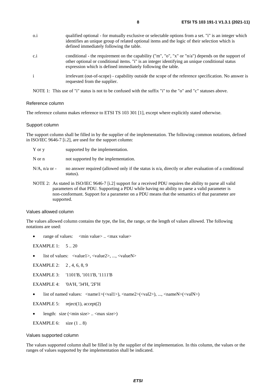| $0.\dot{1}$  | qualified optional - for mutually exclusive or selectable options from a set. "i" is an integer which<br>identifies an unique group of related optional items and the logic of their selection which is<br>defined immediately following the table.                       |
|--------------|---------------------------------------------------------------------------------------------------------------------------------------------------------------------------------------------------------------------------------------------------------------------------|
| c.i          | conditional - the requirement on the capability ("m", "o", "x" or " $n/a$ ") depends on the support of<br>other optional or conditional items. "i" is an integer identifying an unique conditional status<br>expression which is defined immediately following the table. |
| $\mathbf{i}$ | irrelevant (out-of-scope) - capability outside the scope of the reference specification. No answer is<br>requested from the supplier.                                                                                                                                     |

NOTE 1: This use of "i" status is not to be confused with the suffix "i" to the "o" and "c" statuses above.

#### Reference column

The reference column makes reference to ETSI TS 103 301 [\[1\]](#page-4-0), except where explicitly stated otherwise.

#### Support column

The support column shall be filled in by the supplier of the implementation. The following common notations, defined in ISO/IEC 9646-7 [\[i.2\]](#page-4-0), are used for the support column:

| Y or y           | supported by the implementation.                                                                                 |
|------------------|------------------------------------------------------------------------------------------------------------------|
| N or n           | not supported by the implementation.                                                                             |
| $N/A$ , n/a or - | no answer required (allowed only if the status is n/a, directly or after evaluation of a conditional<br>status). |

NOTE 2: As stated in ISO/IEC 9646-7 [[i.2](#page-4-0)] support for a received PDU requires the ability to parse all valid parameters of that PDU. Supporting a PDU while having no ability to parse a valid parameter is non-conformant. Support for a parameter on a PDU means that the semantics of that parameter are supported.

#### Values allowed column

The values allowed column contains the type, the list, the range, or the length of values allowed. The following notations are used:

range of values:  $\langle \text{min value} \rangle$ ...  $\langle \text{max value} \rangle$ 

EXAMPLE 1: 5 .. 20

list of values: <value1>, <value2>, ..., <valueN>

EXAMPLE 2: 2, 4, 6, 8, 9

EXAMPLE 3: '1101'B, '1011'B, '1111'B

EXAMPLE 4: '0A'H, '34'H, '2F'H

list of named values: <name1>(<val1>), <name2>(<val2>), ..., <nameN>(<valN>)

EXAMPLE 5: reject(1),  $accept(2)$ 

length: size (<min size > .. <max size >)

```
EXAMPLE 6: size(1..8)
```
#### Values supported column

The values supported column shall be filled in by the supplier of the implementation. In this column, the values or the ranges of values supported by the implementation shall be indicated.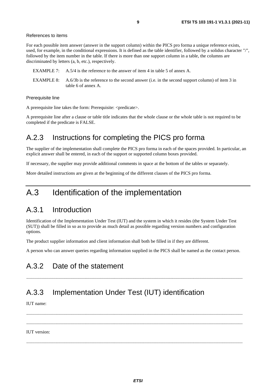#### <span id="page-8-0"></span>References to items

For each possible item answer (answer in the support column) within the PICS pro forma a unique reference exists, used, for example, in the conditional expressions. It is defined as the table identifier, followed by a solidus character "/", followed by the item number in the table. If there is more than one support column in a table, the columns are discriminated by letters (a, b, etc.), respectively.

- EXAMPLE 7: A.5/4 is the reference to the answer of item 4 in table 5 of annex A.
- EXAMPLE 8: A.6/3b is the reference to the second answer (i.e. in the second support column) of item 3 in table 6 of annex A.

Prerequisite line

A prerequisite line takes the form: Prerequisite: <predicate>.

A prerequisite line after a clause or table title indicates that the whole clause or the whole table is not required to be completed if the predicate is FALSE.

# A.2.3 Instructions for completing the PICS pro forma

The supplier of the implementation shall complete the PICS pro forma in each of the spaces provided. In particular, an explicit answer shall be entered, in each of the support or supported column boxes provided.

If necessary, the supplier may provide additional comments in space at the bottom of the tables or separately.

More detailed instructions are given at the beginning of the different clauses of the PICS pro forma.

# A.3 Identification of the implementation

### A.3.1 Introduction

Identification of the Implementation Under Test (IUT) and the system in which it resides (the System Under Test (SUT)) shall be filled in so as to provide as much detail as possible regarding version numbers and configuration options.

The product supplier information and client information shall both be filled in if they are different.

A person who can answer queries regarding information supplied in the PICS shall be named as the contact person.

### A.3.2 Date of the statement

#### .........................................................................................................................................................................................

### A.3.3 Implementation Under Test (IUT) identification

IUT name:

 ......................................................................................................................................................................................... ......................................................................................................................................................................................... IUT version:

.........................................................................................................................................................................................

*ETSI*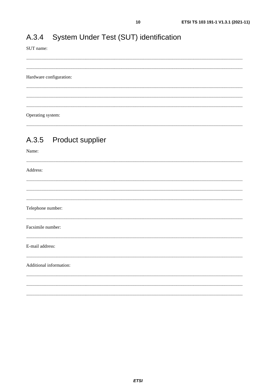#### <span id="page-9-0"></span>System Under Test (SUT) identification A.3.4

SUT name:

#### Hardware configuration:

Operating system:

#### **Product supplier** A.3.5

| Name:                   |
|-------------------------|
| Address:                |
|                         |
|                         |
| Telephone number:       |
| Facsimile number:       |
| E-mail address:         |
| Additional information: |
|                         |
|                         |
|                         |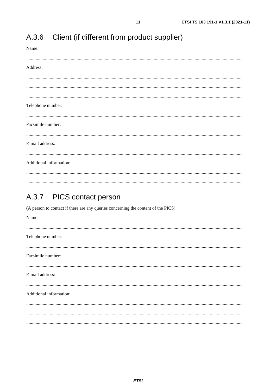| Name:                                                                                                                   |
|-------------------------------------------------------------------------------------------------------------------------|
| Address:                                                                                                                |
|                                                                                                                         |
|                                                                                                                         |
| Telephone number:                                                                                                       |
| Facsimile number:                                                                                                       |
| E-mail address:                                                                                                         |
| Additional information:                                                                                                 |
| A.3.7 PICS contact person<br>(A person to contact if there are any queries concerning the content of the PICS)<br>Name: |
| Telephone number:                                                                                                       |
| Facsimile number:                                                                                                       |
| E-mail address:                                                                                                         |
| Additional information:                                                                                                 |
|                                                                                                                         |

#### <span id="page-10-0"></span>Client (if different from product supplier)  $A.3.6$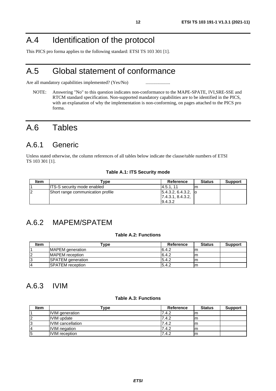# <span id="page-11-0"></span>A.4 Identification of the protocol

This PICS pro forma applies to the following standard: ETSI TS 103 301 [\[1](#page-4-0)].

# A.5 Global statement of conformance

Are all mandatory capabilities implemented? (Yes/No) ............................

NOTE: Answering "No" to this question indicates non-conformance to the MAPE-SPATE, IVI,SRE-SSE and RTCM standard specification. Non-supported mandatory capabilities are to be identified in the PICS, with an explanation of why the implementation is non-conforming, on pages attached to the PICS pro forma.

# A.6 Tables

### A.6.1 Generic

Unless stated otherwise, the column references of all tables below indicate the clause/table numbers of ETSI TS 103 301 [\[1](#page-4-0)].

#### **Table A.1: ITS Security mode**

| Item | Tvpe                               | Reference                           | <b>Status</b> | <b>Support</b> |
|------|------------------------------------|-------------------------------------|---------------|----------------|
|      | <b>ITS-S security mode enabled</b> | 14.5.1.11                           |               |                |
|      | Short range communication profile  | $\vert$ 5.4.3.2, 6.4.3.2, $\vert$ o |               |                |
|      |                                    | 17.4.3.1, 8.4.3.2,                  |               |                |
|      |                                    | 9.4.3.2                             |               |                |

### A.6.2 MAPEM/SPATEM

#### **Table A.2: Functions**

| Item | $r_{\rm VDE}$            | Reference | <b>Status</b> | <b>Support</b> |
|------|--------------------------|-----------|---------------|----------------|
|      | <b>MAPEM</b> generation  | 6.4.2     | ım            |                |
|      | MAPEM reception          | 6.4.2     | ım            |                |
|      | <b>SPATEM</b> generation | 5.4.2     | lm            |                |
|      | <b>ISPATEM</b> reception | 5.4.2     | Im            |                |

### A.6.3 IVIM

#### **Table A.3: Functions**

| <b>Item</b> | ™уре                     | <b>Reference</b> | <b>Status</b> | <b>Support</b> |
|-------------|--------------------------|------------------|---------------|----------------|
|             | IVIM generation          | 7.4.2            | m             |                |
|             | <b>IVIM</b> update       | 7.4.2            | m             |                |
|             | <b>IVIM</b> cancellation | 7.4.2            | m             |                |
|             | <b>IVIM</b> negation     | 7.4.2            | m             |                |
| ıэ          | <b>IVIM</b> reception    | 7.4.2            | m             |                |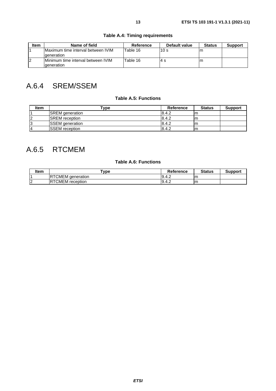<span id="page-12-0"></span>

| Item | Name of field                                                   | Reference | Default value   | <b>Status</b> | <b>Support</b> |
|------|-----------------------------------------------------------------|-----------|-----------------|---------------|----------------|
|      | Maximum time interval between IVIM<br><b>deneration</b>         | Table 16  | 10 <sub>s</sub> | In.           |                |
|      | <b>IMinimum time interval between IVIM</b><br><b>deneration</b> | Table 16  | 4 s             | ıη            |                |

### **Table A.4: Timing requirements**

# A.6.4 SREM/SSEM

#### **Table A.5: Functions**

| <b>Item</b> | Type                   | <b>Reference</b> | <b>Status</b> | <b>Support</b> |
|-------------|------------------------|------------------|---------------|----------------|
|             | <b>SREM</b> generation | 8.4.2            | m             |                |
|             | <b>ISREM</b> reception | 8.4.2            | m             |                |
|             | <b>SSEM</b> generation | 8.4.2            | m             |                |
|             | <b>ISSEM</b> reception | 8.4.2            | m             |                |

### A.6.5 RTCMEM

#### **Table A.6: Functions**

| Item | $T$ <sub>V</sub> pe          | <b>Reference</b> | <b>Status</b> | Support |
|------|------------------------------|------------------|---------------|---------|
|      | <b>IRTCMEM</b><br>deneration | 9.4.2            | Im            |         |
| . .  | <b>RTCMEM</b><br>reception   | 9.4.2            | Im            |         |